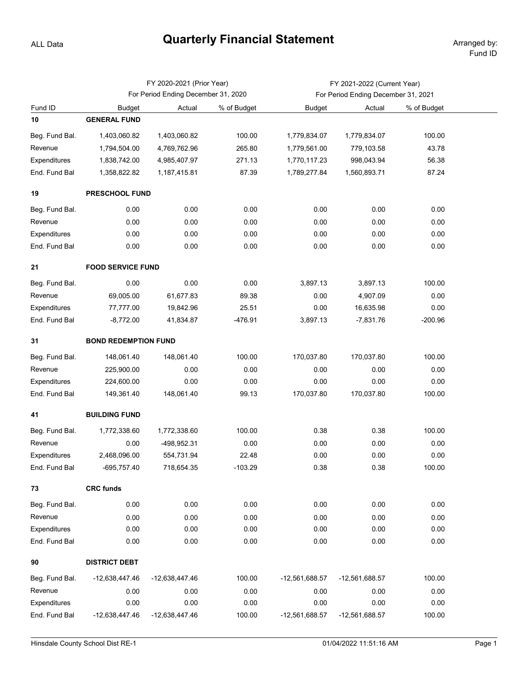## **Quarterly Financial Statement** Arranged by:

ALL Data

|                | FY 2020-2021 (Prior Year)           |                |             | FY 2021-2022 (Current Year)         |                |             |  |  |  |  |
|----------------|-------------------------------------|----------------|-------------|-------------------------------------|----------------|-------------|--|--|--|--|
|                | For Period Ending December 31, 2020 |                |             | For Period Ending December 31, 2021 |                |             |  |  |  |  |
| Fund ID        | <b>Budget</b>                       | Actual         | % of Budget | <b>Budget</b>                       | Actual         | % of Budget |  |  |  |  |
| 10             | <b>GENERAL FUND</b>                 |                |             |                                     |                |             |  |  |  |  |
| Beg. Fund Bal. | 1,403,060.82                        | 1,403,060.82   | 100.00      | 1,779,834.07                        | 1,779,834.07   | 100.00      |  |  |  |  |
| Revenue        | 1,794,504.00                        | 4,769,762.96   | 265.80      | 1,779,561.00                        | 779,103.58     | 43.78       |  |  |  |  |
| Expenditures   | 1,838,742.00                        | 4,985,407.97   | 271.13      | 1,770,117.23                        | 998,043.94     | 56.38       |  |  |  |  |
| End. Fund Bal  | 1,358,822.82                        | 1,187,415.81   | 87.39       | 1,789,277.84                        | 1,560,893.71   | 87.24       |  |  |  |  |
| 19             | <b>PRESCHOOL FUND</b>               |                |             |                                     |                |             |  |  |  |  |
| Beg. Fund Bal. | 0.00                                | 0.00           | 0.00        | 0.00                                | 0.00           | 0.00        |  |  |  |  |
| Revenue        | 0.00                                | 0.00           | 0.00        | 0.00                                | 0.00           | 0.00        |  |  |  |  |
| Expenditures   | 0.00                                | 0.00           | 0.00        | 0.00                                | 0.00           | 0.00        |  |  |  |  |
| End. Fund Bal  | 0.00                                | 0.00           | 0.00        | 0.00                                | 0.00           | 0.00        |  |  |  |  |
| 21             | <b>FOOD SERVICE FUND</b>            |                |             |                                     |                |             |  |  |  |  |
| Beg. Fund Bal. | 0.00                                | 0.00           | 0.00        | 3,897.13                            | 3,897.13       | 100.00      |  |  |  |  |
| Revenue        | 69,005.00                           | 61,677.83      | 89.38       | 0.00                                | 4,907.09       | 0.00        |  |  |  |  |
| Expenditures   | 77,777.00                           | 19,842.96      | 25.51       | 0.00                                | 16,635.98      | 0.00        |  |  |  |  |
| End. Fund Bal  | $-8,772.00$                         | 41,834.87      | $-476.91$   | 3,897.13                            | $-7,831.76$    | $-200.96$   |  |  |  |  |
| 31             | <b>BOND REDEMPTION FUND</b>         |                |             |                                     |                |             |  |  |  |  |
| Beg. Fund Bal. | 148,061.40                          | 148,061.40     | 100.00      | 170,037.80                          | 170,037.80     | 100.00      |  |  |  |  |
| Revenue        | 225,900.00                          | 0.00           | 0.00        | 0.00                                | 0.00           | 0.00        |  |  |  |  |
| Expenditures   | 224,600.00                          | 0.00           | 0.00        | 0.00                                | 0.00           | 0.00        |  |  |  |  |
| End. Fund Bal  | 149,361.40                          | 148,061.40     | 99.13       | 170,037.80                          | 170,037.80     | 100.00      |  |  |  |  |
| 41             | <b>BUILDING FUND</b>                |                |             |                                     |                |             |  |  |  |  |
| Beg. Fund Bal. | 1,772,338.60                        | 1,772,338.60   | 100.00      | 0.38                                | 0.38           | 100.00      |  |  |  |  |
| Revenue        | 0.00                                | -498,952.31    | 0.00        | 0.00                                | 0.00           | 0.00        |  |  |  |  |
| Expenditures   | 2,468,096.00                        | 554,731.94     | 22.48       | 0.00                                | 0.00           | 0.00        |  |  |  |  |
| End. Fund Bal  | -695,757.40                         | 718,654.35     | $-103.29$   | 0.38                                | 0.38           | 100.00      |  |  |  |  |
| 73             | <b>CRC funds</b>                    |                |             |                                     |                |             |  |  |  |  |
| Beg. Fund Bal. | 0.00                                | 0.00           | 0.00        | 0.00                                | 0.00           | 0.00        |  |  |  |  |
| Revenue        | 0.00                                | 0.00           | 0.00        | 0.00                                | 0.00           | 0.00        |  |  |  |  |
| Expenditures   | 0.00                                | 0.00           | 0.00        | 0.00                                | 0.00           | 0.00        |  |  |  |  |
| End. Fund Bal  | 0.00                                | 0.00           | 0.00        | 0.00                                | 0.00           | 0.00        |  |  |  |  |
| 90             | <b>DISTRICT DEBT</b>                |                |             |                                     |                |             |  |  |  |  |
| Beg. Fund Bal. | -12,638,447.46                      | -12,638,447.46 | 100.00      | -12,561,688.57                      | -12,561,688.57 | 100.00      |  |  |  |  |
| Revenue        | 0.00                                | 0.00           | 0.00        | 0.00                                | 0.00           | 0.00        |  |  |  |  |
| Expenditures   | 0.00                                | 0.00           | 0.00        | 0.00                                | 0.00           | 0.00        |  |  |  |  |
| End. Fund Bal  | -12,638,447.46                      | -12,638,447.46 | 100.00      | -12,561,688.57                      | -12,561,688.57 | 100.00      |  |  |  |  |